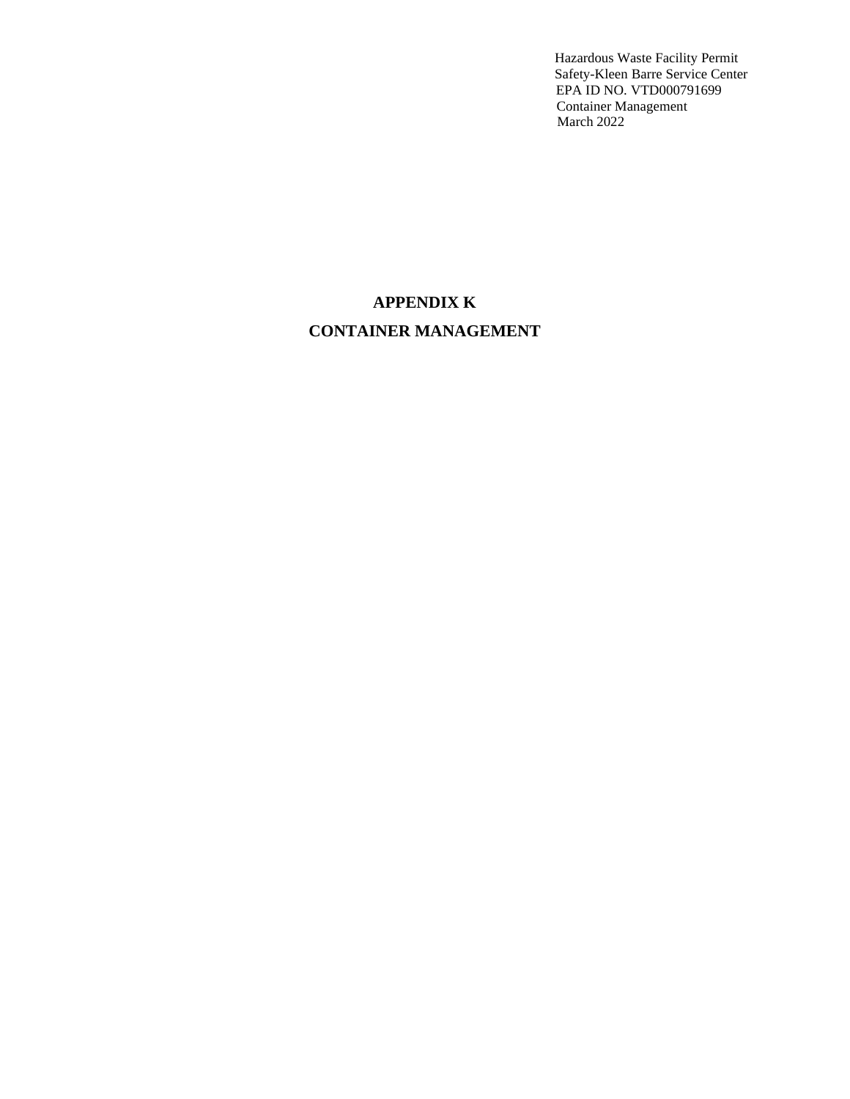# **APPENDIX K CONTAINER MANAGEMENT**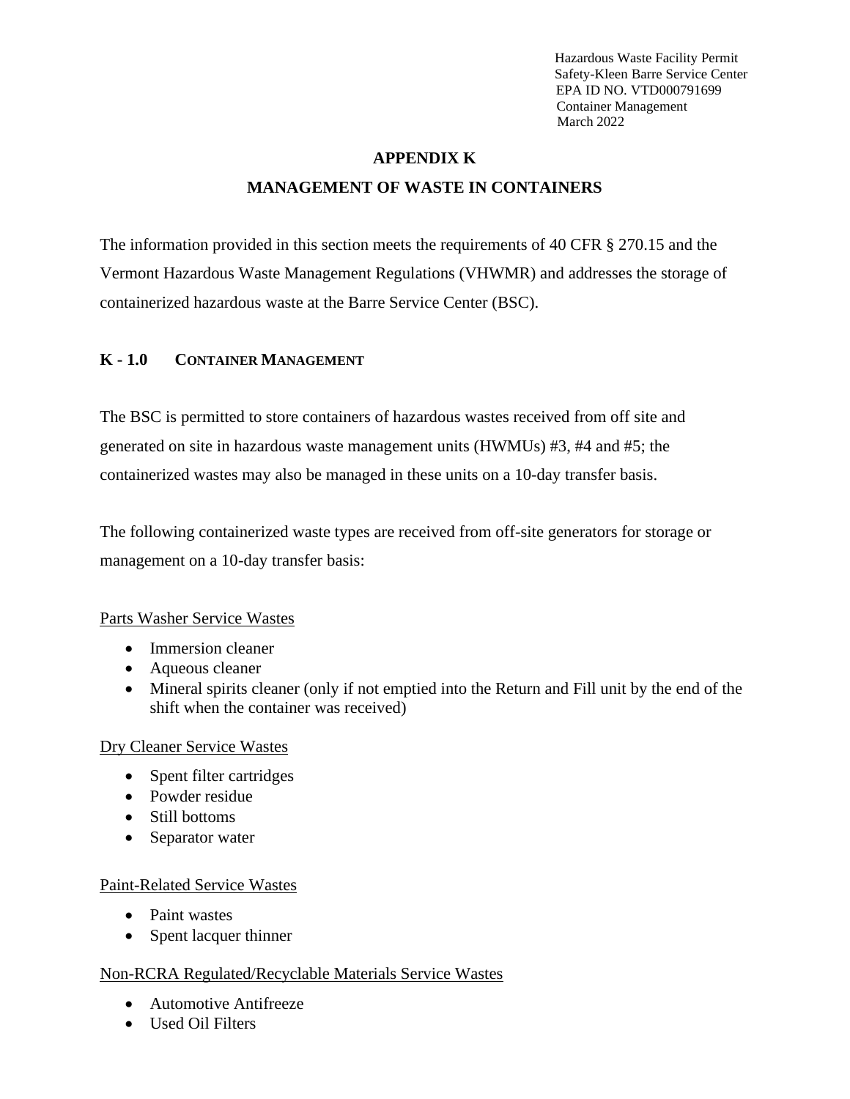# **APPENDIX K MANAGEMENT OF WASTE IN CONTAINERS**

The information provided in this section meets the requirements of 40 CFR § 270.15 and the Vermont Hazardous Waste Management Regulations (VHWMR) and addresses the storage of containerized hazardous waste at the Barre Service Center (BSC).

# **K - 1.0 CONTAINER MANAGEMENT**

The BSC is permitted to store containers of hazardous wastes received from off site and generated on site in hazardous waste management units (HWMUs) #3, #4 and #5; the containerized wastes may also be managed in these units on a 10-day transfer basis.

The following containerized waste types are received from off-site generators for storage or management on a 10-day transfer basis:

## Parts Washer Service Wastes

- Immersion cleaner
- Aqueous cleaner
- Mineral spirits cleaner (only if not emptied into the Return and Fill unit by the end of the shift when the container was received)

## Dry Cleaner Service Wastes

- Spent filter cartridges
- Powder residue
- Still bottoms
- Separator water

# Paint-Related Service Wastes

- Paint wastes
- Spent lacquer thinner

# Non-RCRA Regulated/Recyclable Materials Service Wastes

- Automotive Antifreeze
- Used Oil Filters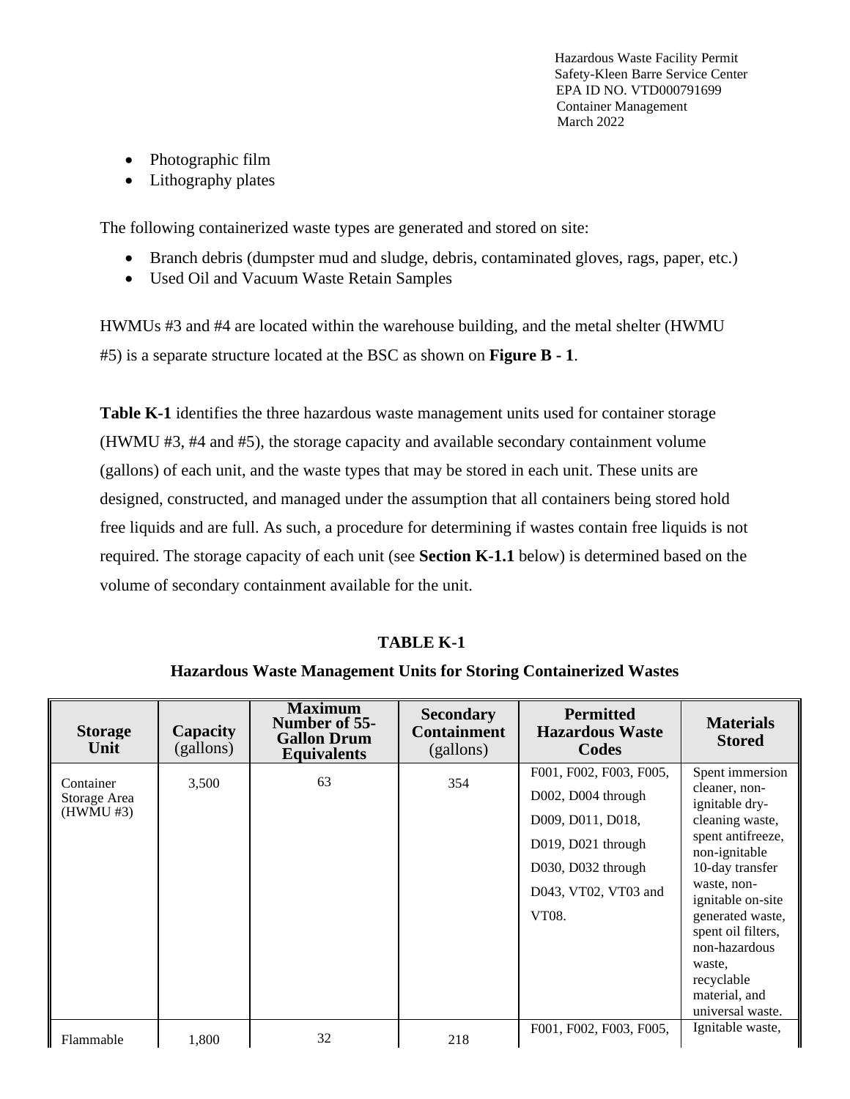- Photographic film
- Lithography plates

The following containerized waste types are generated and stored on site:

- Branch debris (dumpster mud and sludge, debris, contaminated gloves, rags, paper, etc.)
- Used Oil and Vacuum Waste Retain Samples

HWMUs #3 and #4 are located within the warehouse building, and the metal shelter (HWMU #5) is a separate structure located at the BSC as shown on **Figure B - 1**.

**Table K-1** identifies the three hazardous waste management units used for container storage (HWMU #3, #4 and #5), the storage capacity and available secondary containment volume (gallons) of each unit, and the waste types that may be stored in each unit. These units are designed, constructed, and managed under the assumption that all containers being stored hold free liquids and are full. As such, a procedure for determining if wastes contain free liquids is not required. The storage capacity of each unit (see **Section K-1.1** below) is determined based on the volume of secondary containment available for the unit.

# **TABLE K-1**

## **Hazardous Waste Management Units for Storing Containerized Wastes**

| <b>Storage</b><br>Unit                 | Capacity<br>(gallons) | <b>Maximum</b><br>Number of 55-<br><b>Gallon Drum</b><br><b>Equivalents</b> | <b>Secondary</b><br><b>Containment</b><br>(gallons) | <b>Permitted</b><br><b>Hazardous Waste</b><br>Codes                                                                                                  | <b>Materials</b><br><b>Stored</b>                                                                                                                                                                                                                                                          |
|----------------------------------------|-----------------------|-----------------------------------------------------------------------------|-----------------------------------------------------|------------------------------------------------------------------------------------------------------------------------------------------------------|--------------------------------------------------------------------------------------------------------------------------------------------------------------------------------------------------------------------------------------------------------------------------------------------|
| Container<br>Storage Area<br>(HWMU #3) | 3,500                 | 63                                                                          | 354                                                 | F001, F002, F003, F005,<br>D002, D004 through<br>D009, D011, D018,<br>$D019$ , $D021$ through<br>D030, D032 through<br>D043, VT02, VT03 and<br>VT08. | Spent immersion<br>cleaner, non-<br>ignitable dry-<br>cleaning waste,<br>spent antifreeze,<br>non-ignitable<br>10-day transfer<br>waste, non-<br>ignitable on-site<br>generated waste,<br>spent oil filters,<br>non-hazardous<br>waste.<br>recyclable<br>material, and<br>universal waste. |
| Flammable                              | 1,800                 | 32                                                                          | 218                                                 | F001, F002, F003, F005,                                                                                                                              | Ignitable waste,                                                                                                                                                                                                                                                                           |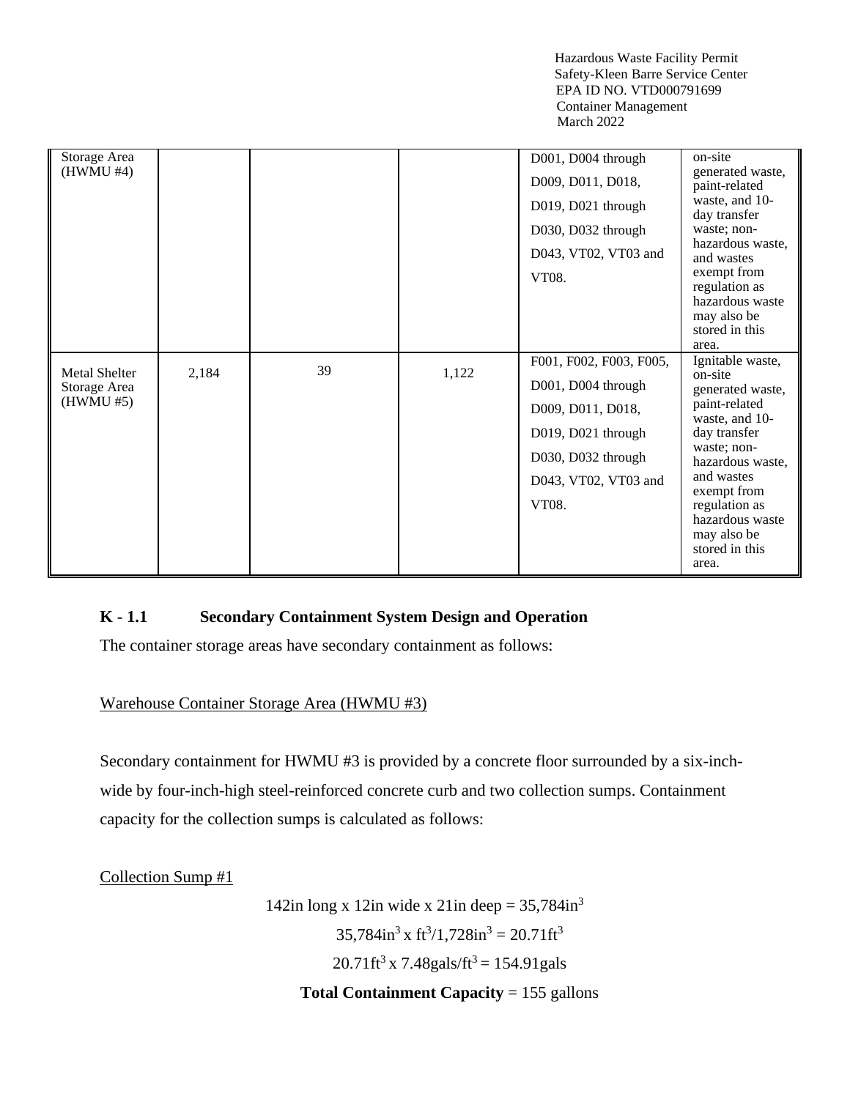| Storage Area<br>(HWMU #4)                         |       |    |       | D001, D004 through<br>D009, D011, D018,<br>D019, D021 through<br>D030, D032 through<br>D043, VT02, VT03 and<br>VT08.                            | on-site<br>generated waste,<br>paint-related<br>waste, and 10-<br>day transfer<br>waste; non-<br>hazardous waste,<br>and wastes<br>exempt from<br>regulation as<br>hazardous waste<br>may also be<br>stored in this<br>area.                     |
|---------------------------------------------------|-------|----|-------|-------------------------------------------------------------------------------------------------------------------------------------------------|--------------------------------------------------------------------------------------------------------------------------------------------------------------------------------------------------------------------------------------------------|
| <b>Metal Shelter</b><br>Storage Area<br>(HWMU #5) | 2,184 | 39 | 1,122 | F001, F002, F003, F005,<br>D001, D004 through<br>D009, D011, D018,<br>D019, D021 through<br>D030, D032 through<br>D043, VT02, VT03 and<br>VT08. | Ignitable waste,<br>on-site<br>generated waste,<br>paint-related<br>waste, and 10-<br>day transfer<br>waste; non-<br>hazardous waste,<br>and wastes<br>exempt from<br>regulation as<br>hazardous waste<br>may also be<br>stored in this<br>area. |

# **K - 1.1 Secondary Containment System Design and Operation**

The container storage areas have secondary containment as follows:

## Warehouse Container Storage Area (HWMU #3)

Secondary containment for HWMU #3 is provided by a concrete floor surrounded by a six-inchwide by four-inch-high steel-reinforced concrete curb and two collection sumps. Containment capacity for the collection sumps is calculated as follows:

Collection Sump #1

142in long x 12in wide x 21in deep =  $35,784$ in<sup>3</sup>  $35,784$ in<sup>3</sup> x ft<sup>3</sup>/1,728in<sup>3</sup> = 20.71ft<sup>3</sup>  $20.71 \text{ft}^3 \times 7.48 \text{gals/ft}^3 = 154.91 \text{gals}$ **Total Containment Capacity** = 155 gallons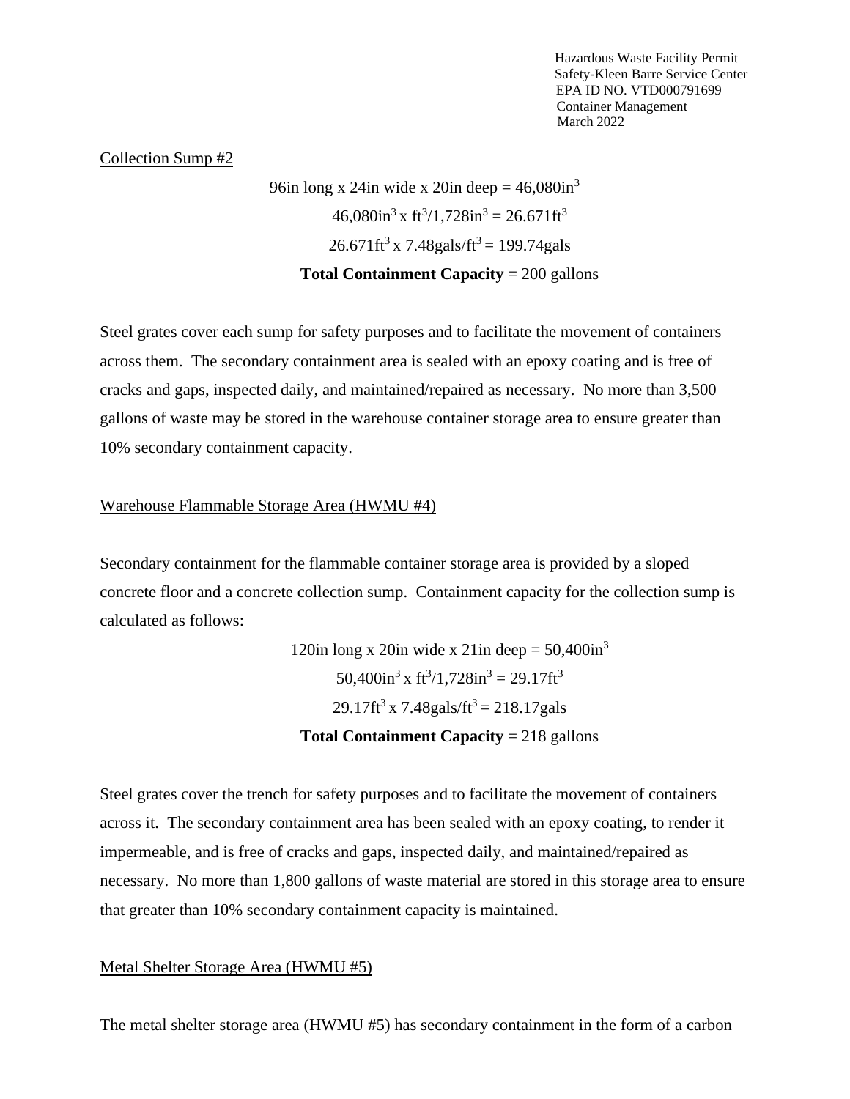#### Collection Sump #2

96in long x 24in wide x 20in deep =  $46,080$ in<sup>3</sup>  $46,080$ in<sup>3</sup> x ft<sup>3</sup>/1,728in<sup>3</sup> = 26.671ft<sup>3</sup>  $26.671 \text{ft}^3 \times 7.48 \text{gals/ft}^3 = 199.74 \text{gals}$ **Total Containment Capacity** = 200 gallons

Steel grates cover each sump for safety purposes and to facilitate the movement of containers across them. The secondary containment area is sealed with an epoxy coating and is free of cracks and gaps, inspected daily, and maintained/repaired as necessary. No more than 3,500 gallons of waste may be stored in the warehouse container storage area to ensure greater than 10% secondary containment capacity.

#### Warehouse Flammable Storage Area (HWMU #4)

Secondary containment for the flammable container storage area is provided by a sloped concrete floor and a concrete collection sump. Containment capacity for the collection sump is calculated as follows:

> 120in long x 20in wide x 21in deep =  $50,400$ in<sup>3</sup>  $50,400$ in<sup>3</sup> x ft<sup>3</sup>/1,728in<sup>3</sup> = 29.17ft<sup>3</sup>  $29.17 \text{ft}^3 \times 7.48 \text{gals/ft}^3 = 218.17 \text{gals}$ **Total Containment Capacity** = 218 gallons

Steel grates cover the trench for safety purposes and to facilitate the movement of containers across it. The secondary containment area has been sealed with an epoxy coating, to render it impermeable, and is free of cracks and gaps, inspected daily, and maintained/repaired as necessary. No more than 1,800 gallons of waste material are stored in this storage area to ensure that greater than 10% secondary containment capacity is maintained.

#### Metal Shelter Storage Area (HWMU #5)

The metal shelter storage area (HWMU #5) has secondary containment in the form of a carbon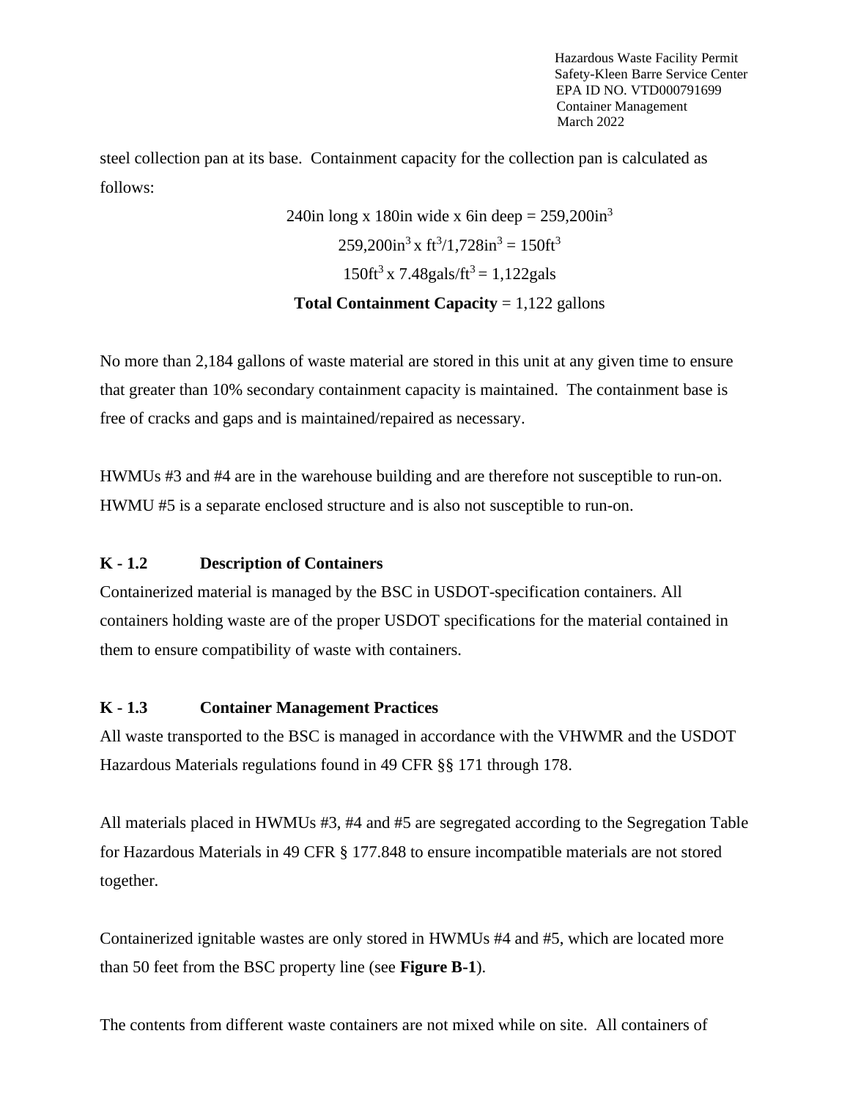steel collection pan at its base. Containment capacity for the collection pan is calculated as follows:

> 240in long x 180in wide x 6in deep =  $259.200$ in<sup>3</sup>  $259,200$ in<sup>3</sup> x ft<sup>3</sup>/1,728in<sup>3</sup> = 150ft<sup>3</sup>  $150 \text{ft}^3 \times 7.48 \text{gals/ft}^3 = 1,122 \text{gals}$ **Total Containment Capacity** = 1,122 gallons

No more than 2,184 gallons of waste material are stored in this unit at any given time to ensure that greater than 10% secondary containment capacity is maintained. The containment base is free of cracks and gaps and is maintained/repaired as necessary.

HWMUs #3 and #4 are in the warehouse building and are therefore not susceptible to run-on. HWMU #5 is a separate enclosed structure and is also not susceptible to run-on.

# **K - 1.2 Description of Containers**

Containerized material is managed by the BSC in USDOT-specification containers. All containers holding waste are of the proper USDOT specifications for the material contained in them to ensure compatibility of waste with containers.

# **K - 1.3 Container Management Practices**

All waste transported to the BSC is managed in accordance with the VHWMR and the USDOT Hazardous Materials regulations found in 49 CFR §§ 171 through 178.

All materials placed in HWMUs #3, #4 and #5 are segregated according to the Segregation Table for Hazardous Materials in 49 CFR § 177.848 to ensure incompatible materials are not stored together.

Containerized ignitable wastes are only stored in HWMUs #4 and #5, which are located more than 50 feet from the BSC property line (see **Figure B-1**).

The contents from different waste containers are not mixed while on site. All containers of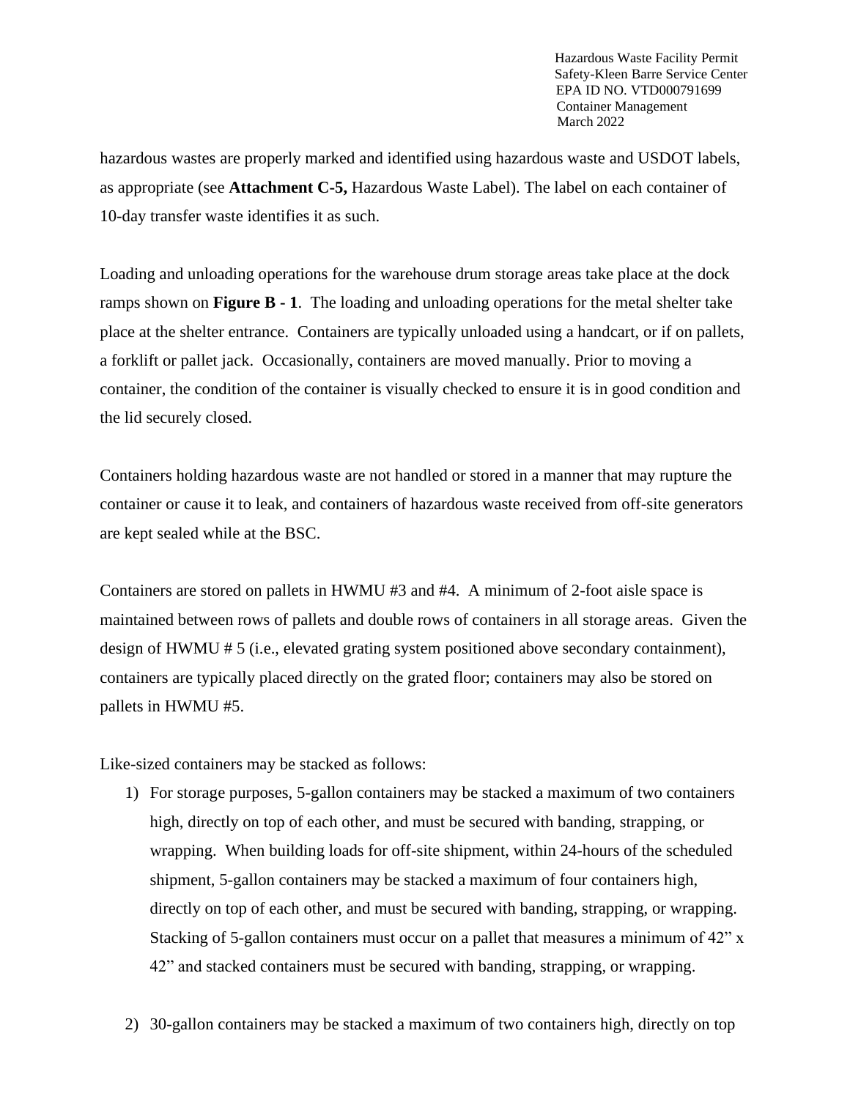hazardous wastes are properly marked and identified using hazardous waste and USDOT labels, as appropriate (see **Attachment C-5,** Hazardous Waste Label). The label on each container of 10-day transfer waste identifies it as such.

Loading and unloading operations for the warehouse drum storage areas take place at the dock ramps shown on **Figure B - 1**. The loading and unloading operations for the metal shelter take place at the shelter entrance. Containers are typically unloaded using a handcart, or if on pallets, a forklift or pallet jack. Occasionally, containers are moved manually. Prior to moving a container, the condition of the container is visually checked to ensure it is in good condition and the lid securely closed.

Containers holding hazardous waste are not handled or stored in a manner that may rupture the container or cause it to leak, and containers of hazardous waste received from off-site generators are kept sealed while at the BSC.

Containers are stored on pallets in HWMU #3 and #4. A minimum of 2-foot aisle space is maintained between rows of pallets and double rows of containers in all storage areas. Given the design of HWMU # 5 (i.e., elevated grating system positioned above secondary containment), containers are typically placed directly on the grated floor; containers may also be stored on pallets in HWMU #5.

Like-sized containers may be stacked as follows:

- 1) For storage purposes, 5-gallon containers may be stacked a maximum of two containers high, directly on top of each other, and must be secured with banding, strapping, or wrapping. When building loads for off-site shipment, within 24-hours of the scheduled shipment, 5-gallon containers may be stacked a maximum of four containers high, directly on top of each other, and must be secured with banding, strapping, or wrapping. Stacking of 5-gallon containers must occur on a pallet that measures a minimum of 42" x 42" and stacked containers must be secured with banding, strapping, or wrapping.
- 2) 30-gallon containers may be stacked a maximum of two containers high, directly on top